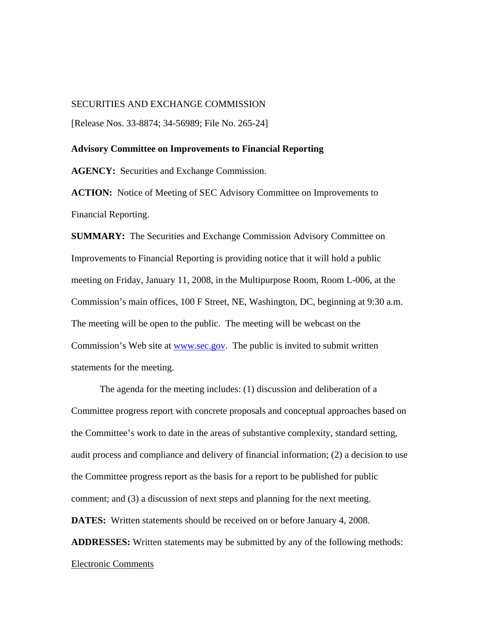## SECURITIES AND EXCHANGE COMMISSION

[Release Nos. 33-8874; 34-56989; File No. 265-24]

## **Advisory Committee on Improvements to Financial Reporting**

**AGENCY:** Securities and Exchange Commission.

ACTION: Notice of Meeting of SEC Advisory Committee on Improvements to Financial Reporting.

**SUMMARY:** The Securities and Exchange Commission Advisory Committee on Improvements to Financial Reporting is providing notice that it will hold a public meeting on Friday, January 11, 2008, in the Multipurpose Room, Room L-006, at the Commission's main offices, 100 F Street, NE, Washington, DC, beginning at 9:30 a.m. The meeting will be open to the public. The meeting will be webcast on the Commission's Web site at www.sec.gov. The public is invited to submit written statements for the meeting.

The agenda for the meeting includes: (1) discussion and deliberation of a Committee progress report with concrete proposals and conceptual approaches based on the Committee's work to date in the areas of substantive complexity, standard setting, audit process and compliance and delivery of financial information; (2) a decision to use the Committee progress report as the basis for a report to be published for public comment; and (3) a discussion of next steps and planning for the next meeting.

**DATES:** Written statements should be received on or before January 4, 2008.

**ADDRESSES:** Written statements may be submitted by any of the following methods:

## Electronic Comments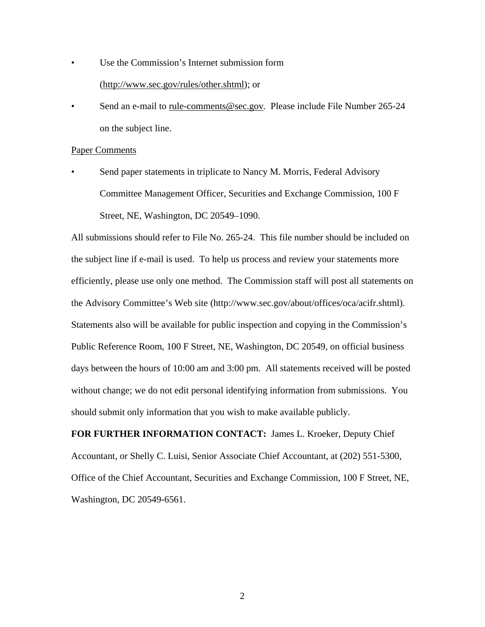- Use the Commission's Internet submission form (http://www.sec.gov/rules/other.shtml); or
- Send an e-mail to rule-comments@sec.gov*.* Please include File Number 265-24 on the subject line.

## Paper Comments

Send paper statements in triplicate to Nancy M. Morris, Federal Advisory Committee Management Officer, Securities and Exchange Commission, 100 F Street, NE, Washington, DC 20549–1090.

All submissions should refer to File No. 265-24. This file number should be included on the subject line if e-mail is used. To help us process and review your statements more efficiently, please use only one method. The Commission staff will post all statements on the Advisory Committee's Web site (http://www.sec.gov/about/offices/oca/acifr.shtml). Statements also will be available for public inspection and copying in the Commission's Public Reference Room, 100 F Street, NE, Washington, DC 20549, on official business days between the hours of 10:00 am and 3:00 pm. All statements received will be posted without change; we do not edit personal identifying information from submissions. You should submit only information that you wish to make available publicly.

**FOR FURTHER INFORMATION CONTACT:** James L. Kroeker, Deputy Chief Accountant, or Shelly C. Luisi, Senior Associate Chief Accountant, at (202) 551-5300, Office of the Chief Accountant, Securities and Exchange Commission, 100 F Street, NE, Washington, DC 20549-6561.